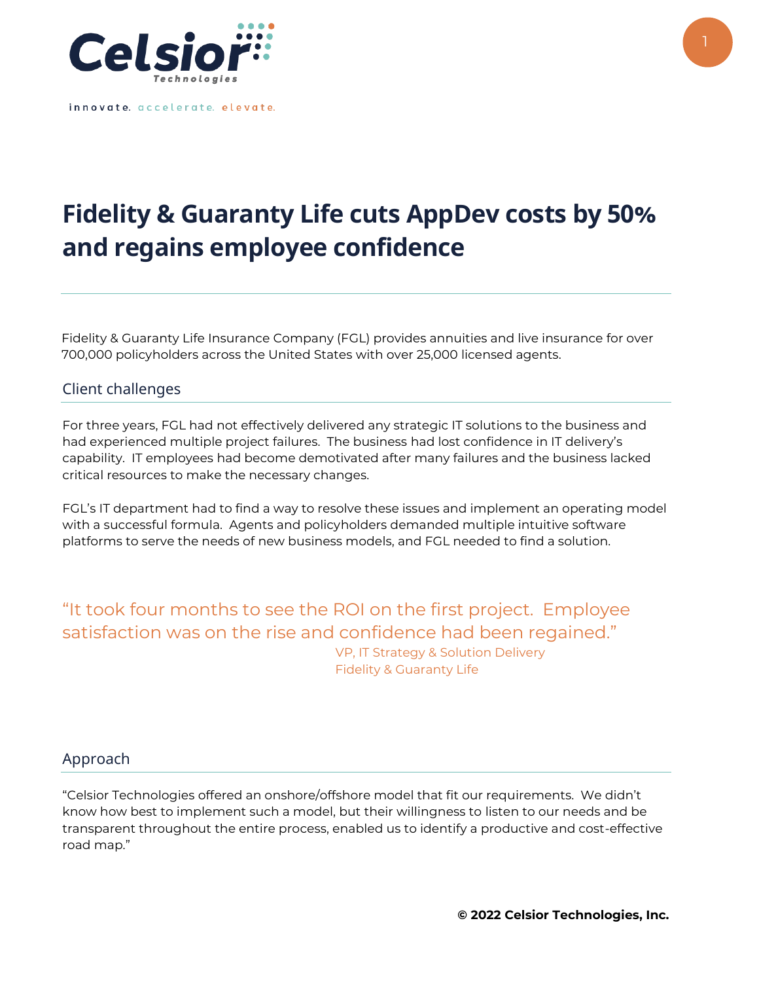

innovate. accelerate. elevate.

## **Fidelity & Guaranty Life cuts AppDev costs by 50% and regains employee confidence**

Fidelity & Guaranty Life Insurance Company (FGL) provides annuities and live insurance for over 700,000 policyholders across the United States with over 25,000 licensed agents.

## Client challenges

For three years, FGL had not effectively delivered any strategic IT solutions to the business and had experienced multiple project failures. The business had lost confidence in IT delivery's capability. IT employees had become demotivated after many failures and the business lacked critical resources to make the necessary changes.

FGL's IT department had to find a way to resolve these issues and implement an operating model with a successful formula. Agents and policyholders demanded multiple intuitive software platforms to serve the needs of new business models, and FGL needed to find a solution.

"It took four months to see the ROI on the first project. Employee satisfaction was on the rise and confidence had been regained." VP, IT Strategy & Solution Delivery Fidelity & Guaranty Life

## Approach

"Celsior Technologies offered an onshore/offshore model that fit our requirements. We didn't know how best to implement such a model, but their willingness to listen to our needs and be transparent throughout the entire process, enabled us to identify a productive and cost-effective road map."